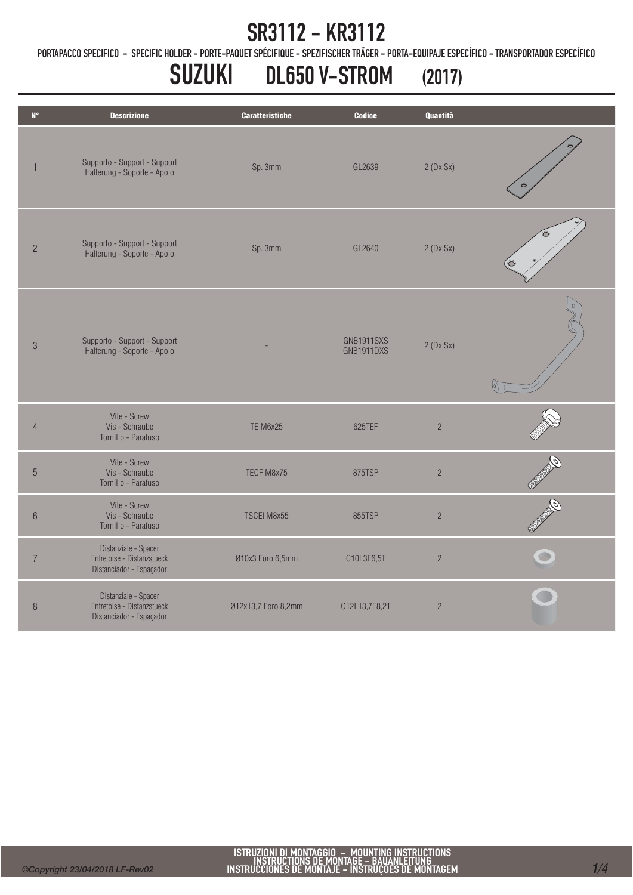PORTAPACCO SPECIFICO - SPECIFIC HOLDER - PORTE-PAQUET SPÉCIFIQUE - SPEZIFISCHER TRÄGER - PORTA-EQUIPAJE ESPECÍFICO - TRANSPORTADOR ESPECÍFICO

# SUZUKI DL650 V-STROM (2017)

| $\mathbf{N}^{\bullet}$ | <b>Descrizione</b>                                                             | <b>Caratteristiche</b> | <b>Codice</b>            | Quantità       |  |
|------------------------|--------------------------------------------------------------------------------|------------------------|--------------------------|----------------|--|
| $\overline{1}$         | Supporto - Support - Support<br>Halterung - Soporte - Apoio                    | Sp. 3mm                | GL2639                   | 2(Dx;Sx)       |  |
| $\overline{c}$         | Supporto - Support - Support<br>Halterung - Soporte - Apoio                    | Sp. 3mm                | GL2640                   | 2(Dx;Sx)       |  |
| $\mathfrak{S}$         | Supporto - Support - Support<br>Halterung - Soporte - Apoio                    |                        | GNB1911SXS<br>GNB1911DXS | 2(Dx;Sx)       |  |
| $\overline{4}$         | Vite - Screw<br>Vis - Schraube<br>Tornillo - Parafuso                          | <b>TE M6x25</b>        | 625TEF                   | $\overline{c}$ |  |
| 5                      | Vite - Screw<br>Vis - Schraube<br>Tornillo - Parafuso                          | TECF M8x75             | 875TSP                   | $\sqrt{2}$     |  |
| $\,6\,$                | Vite - Screw<br>Vis - Schraube<br>Tornillo - Parafuso                          | TSCEI M8x55            | 855TSP                   | $\overline{c}$ |  |
| $\overline{7}$         | Distanziale - Spacer<br>Entretoise - Distanzstueck<br>Distanciador - Espaçador | Ø10x3 Foro 6,5mm       | C10L3F6,5T               | $\sqrt{2}$     |  |
| $\, 8$                 | Distanziale - Spacer<br>Entretoise - Distanzstueck<br>Distanciador - Espaçador | Ø12x13,7 Foro 8,2mm    | C12L13,7F8,2T            | $\overline{c}$ |  |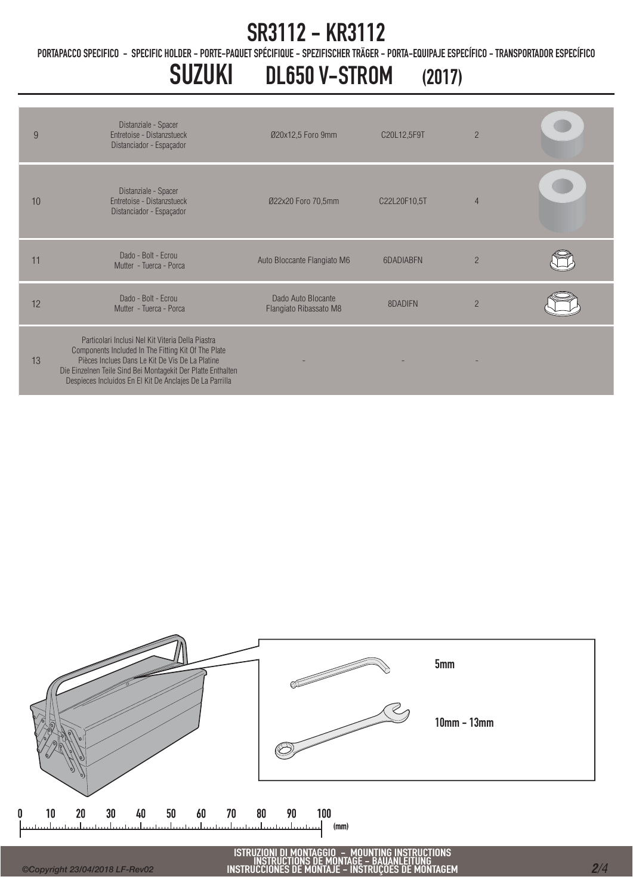PORTAPACCO SPECIFICO - SPECIFIC HOLDER - PORTE-PAQUET SPÉCIFIQUE - SPEZIFISCHER TRÄGER - PORTA-EQUIPAJE ESPECÍFICO - TRANSPORTADOR ESPECÍFICO

## SUZUKI DL650 V-STROM (2017)

| 9  | Distanziale - Spacer<br><b>Entretoise - Distanzstueck</b><br>Distanciador - Espaçador                                                                                                                                                                                                   | Ø20x12,5 Foro 9mm                            | C20L12,5F9T  | $\overline{2}$ |  |
|----|-----------------------------------------------------------------------------------------------------------------------------------------------------------------------------------------------------------------------------------------------------------------------------------------|----------------------------------------------|--------------|----------------|--|
| 10 | Distanziale - Spacer<br>Entretoise - Distanzstueck<br>Distanciador - Espaçador                                                                                                                                                                                                          | Ø22x20 Foro 70,5mm                           | C22L20F10,5T | $\overline{4}$ |  |
| 11 | Dado - Bolt - Ecrou<br>Mutter - Tuerca - Porca                                                                                                                                                                                                                                          | Auto Bloccante Flangiato M6                  | 6DADIABEN    | $\mathfrak{p}$ |  |
| 12 | Dado - Bolt - Fcrou<br>Mutter - Tuerca - Porca                                                                                                                                                                                                                                          | Dado Auto Blocante<br>Flangiato Ribassato M8 | 8DADIFN      | $\overline{2}$ |  |
| 13 | Particolari Inclusi Nel Kit Viteria Della Piastra<br>Components Included In The Fitting Kit Of The Plate<br>Pièces Inclues Dans Le Kit De Vis De La Platine<br>Die Einzelnen Teile Sind Bei Montagekit Der Platte Enthalten<br>Despieces Incluidos En El Kit De Anclajes De La Parrilla |                                              |              |                |  |

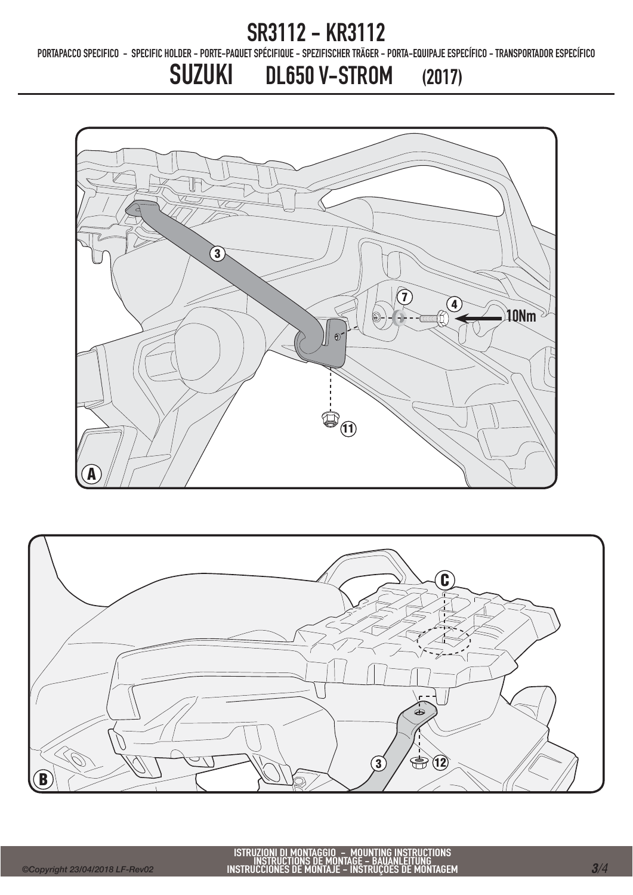PORTAPACCO SPECIFICO - SPECIFIC HOLDER - PORTE-PAQUET SPÉCIFIQUE - SPEZIFISCHER TRÄGER - PORTA-EQUIPAJE ESPECÍFICO - TRANSPORTADOR ESPECÍFICO

SUZUKI DL650 V-STROM (2017)